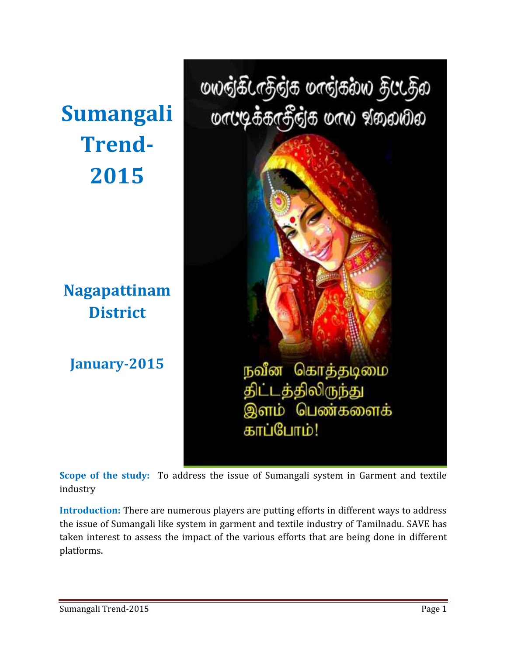**Trend- 2015**

**Nagapattinam District**

**January-2015**

மலத்கீடாதத்த மாத்கல்ல தட்டத்ல Sumangali orce <del>s</del>arssis orw goodbo நவீன கொத்தடிமை திட்டத்திலிருந்து இளம் பெண்களைக் காப்போம்!

**Scope of the study:** To address the issue of Sumangali system in Garment and textile industry

**Introduction:** There are numerous players are putting efforts in different ways to address the issue of Sumangali like system in garment and textile industry of Tamilnadu. SAVE has taken interest to assess the impact of the various efforts that are being done in different platforms.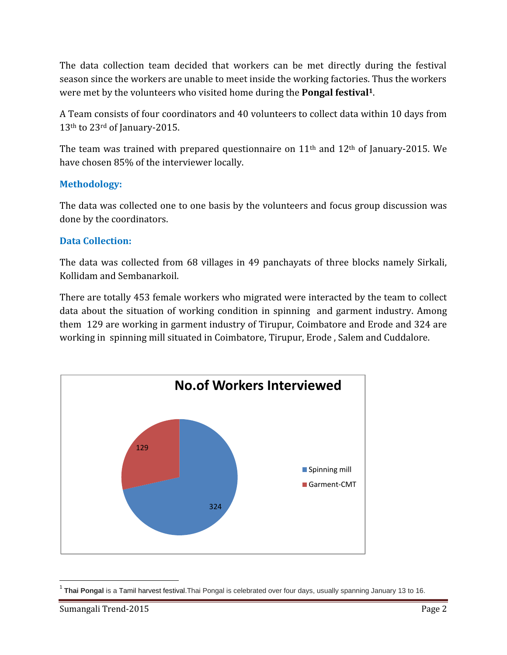The data collection team decided that workers can be met directly during the festival season since the workers are unable to meet inside the working factories. Thus the workers were met by the volunteers who visited home during the **Pongal festival<sup>1</sup>**.

A Team consists of four coordinators and 40 volunteers to collect data within 10 days from 13<sup>th</sup> to 23<sup>rd</sup> of January-2015.

The team was trained with prepared questionnaire on 11th and 12th of January-2015. We have chosen 85% of the interviewer locally.

## **Methodology:**

The data was collected one to one basis by the volunteers and focus group discussion was done by the coordinators.

## **Data Collection:**

The data was collected from 68 villages in 49 panchayats of three blocks namely Sirkali, Kollidam and Sembanarkoil.

There are totally 453 female workers who migrated were interacted by the team to collect data about the situation of working condition in spinning and garment industry. Among them 129 are working in garment industry of Tirupur, Coimbatore and Erode and 324 are working in spinning mill situated in Coimbatore, Tirupur, Erode , Salem and Cuddalore.



<sup>&</sup>lt;sup>1</sup> Thai Pongal is a Tamil harvest festival. Thai Pongal is celebrated over four days, usually spanning January 13 to 16.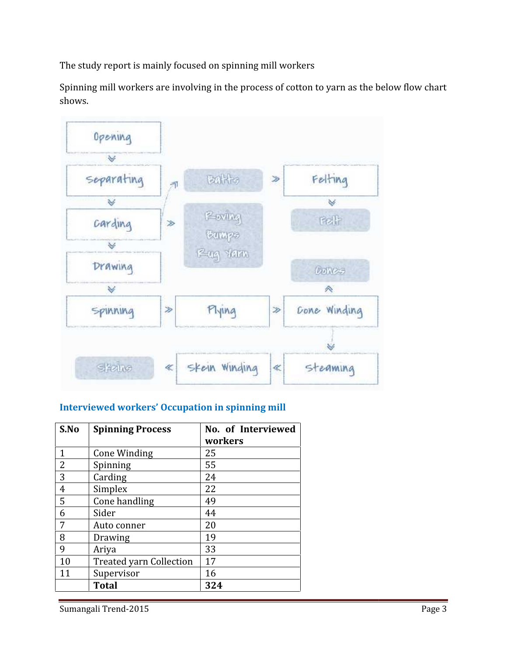The study report is mainly focused on spinning mill workers

Spinning mill workers are involving in the process of cotton to yarn as the below flow chart shows.



## **Interviewed workers' Occupation in spinning mill**

| S.No | <b>Spinning Process</b>        | No. of Interviewed |  |
|------|--------------------------------|--------------------|--|
|      |                                | workers            |  |
| 1    | Cone Winding                   | 25                 |  |
| 2    | Spinning                       | 55                 |  |
| 3    | Carding                        | 24                 |  |
| 4    | Simplex                        | 22                 |  |
| 5    | Cone handling                  | 49                 |  |
| 6    | Sider                          | 44                 |  |
| 7    | Auto conner                    | 20                 |  |
| 8    | Drawing                        | 19                 |  |
| 9    | Ariya                          | 33                 |  |
| 10   | <b>Treated yarn Collection</b> | 17                 |  |
| 11   | Supervisor                     | 16                 |  |
|      | <b>Total</b>                   | 324                |  |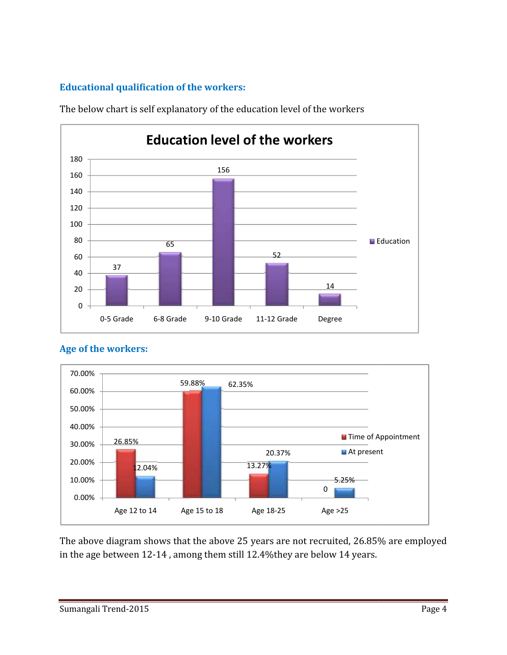# **Educational qualification of the workers:**



The below chart is self explanatory of the education level of the workers



## **Age of the workers:**

The above diagram shows that the above 25 years are not recruited, 26.85% are employed in the age between 12-14 , among them still 12.4%they are below 14 years.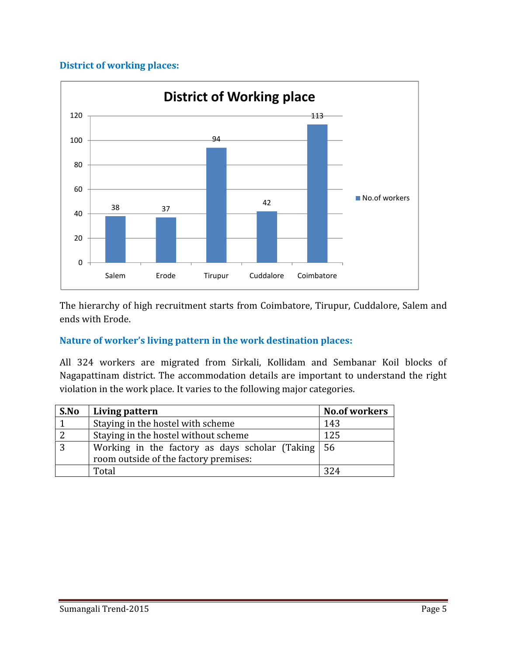#### **District of working places:**



The hierarchy of high recruitment starts from Coimbatore, Tirupur, Cuddalore, Salem and ends with Erode.

#### **Nature of worker's living pattern in the work destination places:**

All 324 workers are migrated from Sirkali, Kollidam and Sembanar Koil blocks of Nagapattinam district. The accommodation details are important to understand the right violation in the work place. It varies to the following major categories.

| S.No | Living pattern                                                    | <b>No.of workers</b> |
|------|-------------------------------------------------------------------|----------------------|
|      | Staying in the hostel with scheme                                 | 143                  |
| 2    | Staying in the hostel without scheme                              | 125                  |
| 3    | Working in the factory as days scholar (Taking $\vert 56 \rangle$ |                      |
|      | room outside of the factory premises:                             |                      |
|      | Total                                                             | 324                  |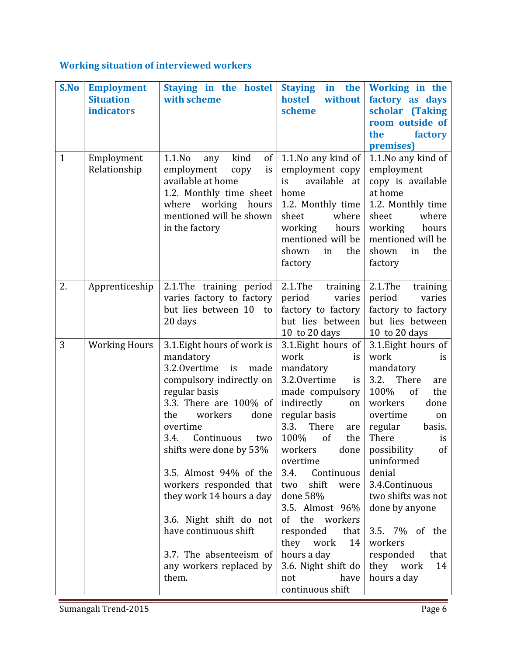# **Working situation of interviewed workers**

| S.No         | <b>Employment</b><br><b>Situation</b><br><b>indicators</b> | Staying in the hostel<br>with scheme                                                                                                                                                                                                                                                                                                                                                                                                            | <b>Staying</b><br>without<br>hostel<br>scheme                                                                                                                                                                                                                                                                                                                                                                 | in the Working in the<br>factory as days<br>scholar (Taking<br>room outside of<br>the<br>factory<br>premises)                                                                                                                                                                                                                                                             |
|--------------|------------------------------------------------------------|-------------------------------------------------------------------------------------------------------------------------------------------------------------------------------------------------------------------------------------------------------------------------------------------------------------------------------------------------------------------------------------------------------------------------------------------------|---------------------------------------------------------------------------------------------------------------------------------------------------------------------------------------------------------------------------------------------------------------------------------------------------------------------------------------------------------------------------------------------------------------|---------------------------------------------------------------------------------------------------------------------------------------------------------------------------------------------------------------------------------------------------------------------------------------------------------------------------------------------------------------------------|
| $\mathbf{1}$ | Employment<br>Relationship                                 | kind<br>$1.1$ .No<br>of<br>any<br>employment<br>copy<br>is<br>available at home<br>1.2. Monthly time sheet<br>where working hours<br>mentioned will be shown<br>in the factory                                                                                                                                                                                                                                                                  | 1.1. No any kind of<br>employment copy<br>available at<br>is<br>home<br>1.2. Monthly time<br>sheet<br>where<br>working<br>hours<br>mentioned will be<br>shown<br>the<br>in<br>factory                                                                                                                                                                                                                         | 1.1. No any kind of<br>employment<br>copy is available<br>at home<br>1.2. Monthly time<br>sheet<br>where<br>working<br>hours<br>mentioned will be<br>shown<br>the<br>in<br>factory                                                                                                                                                                                        |
| 2.           | Apprenticeship                                             | 2.1. The training period<br>varies factory to factory<br>but lies between 10 to<br>20 days                                                                                                                                                                                                                                                                                                                                                      | $2.1$ .The<br>training<br>period<br>varies<br>factory to factory<br>but lies between<br>10 to 20 days                                                                                                                                                                                                                                                                                                         | $2.1$ .The<br>training<br>period<br>varies<br>factory to factory<br>but lies between<br>10 to 20 days                                                                                                                                                                                                                                                                     |
| 3            | <b>Working Hours</b>                                       | 3.1. Eight hours of work is<br>mandatory<br>3.2.0 vertime<br>is<br>made<br>compulsory indirectly on<br>regular basis<br>3.3. There are 100% of<br>workers<br>the<br>done<br>overtime<br>Continuous<br>3.4.<br>two<br>shifts were done by 53%<br>3.5. Almost 94% of the<br>workers responded that<br>they work 14 hours a day<br>3.6. Night shift do not<br>have continuous shift<br>3.7. The absenteeism of<br>any workers replaced by<br>them. | 3.1. Eight hours of<br>work<br>is<br>mandatory<br>3.2.0vertime<br>is<br>made compulsory<br>indirectly<br>on<br>regular basis<br>There<br>3.3.<br>are<br>100%<br>of<br>the<br>workers<br>overtime<br>Continuous<br>3.4.<br>shift were<br>two<br>done 58%<br>3.5. Almost 96%<br>of the workers<br>responded<br>that<br>they work<br>14<br>hours a day<br>3.6. Night shift do<br>have<br>not<br>continuous shift | 3.1. Eight hours of<br>work<br>is<br>mandatory<br>3.2.<br>There<br>are<br>100%<br>the<br>of<br>workers<br>done<br>overtime<br>on<br>regular<br>basis.<br>There<br>is<br>of<br>done $ $ possibility<br>uninformed<br>denial<br>3.4. Continuous<br>two shifts was not<br>done by anyone<br>3.5. 7% of the<br>workers<br>responded<br>that<br>14<br>they work<br>hours a day |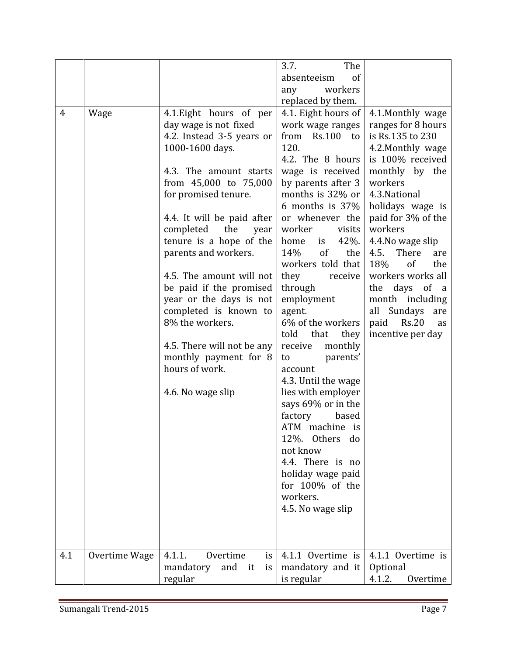| $\overline{4}$<br>Wage | 4.1. Eight hours of per<br>day wage is not fixed<br>4.2. Instead 3-5 years or<br>1000-1600 days.<br>4.3. The amount starts<br>from 45,000 to 75,000<br>for promised tenure.<br>4.4. It will be paid after<br>completed<br>the<br>year<br>tenure is a hope of the<br>parents and workers.<br>4.5. The amount will not<br>be paid if the promised<br>year or the days is not<br>completed is known to<br>8% the workers.<br>4.5. There will not be any<br>monthly payment for 8<br>hours of work.<br>4.6. No wage slip | 3.7.<br>The<br>of<br>absenteeism<br>workers<br>any<br>replaced by them.<br>4.1. Eight hours of<br>work wage ranges<br>from Rs.100 to<br>120.<br>4.2. The 8 hours<br>wage is received<br>by parents after 3<br>months is 32% or<br>6 months is 37%<br>or whenever the<br>worker<br>visits<br>42%.<br>home<br>is<br>of<br>the<br>14%<br>workers told that<br>they<br>receive<br>through<br>employment<br>agent.<br>6% of the workers<br>they<br>told<br>that<br>receive<br>monthly<br>parents'<br>to<br>account<br>4.3. Until the wage<br>lies with employer<br>says 69% or in the<br>factory<br>based<br>ATM machine is<br>12%. Others do<br>not know<br>4.4. There is no<br>holiday wage paid<br>for 100% of the<br>workers.<br>4.5. No wage slip | 4.1.Monthly wage<br>ranges for 8 hours<br>is Rs.135 to 230<br>4.2. Monthly wage<br>is 100% received<br>monthly by the<br>workers<br>4.3. National<br>holidays wage is<br>paid for 3% of the<br>workers<br>4.4. No wage slip<br>There<br>4.5.<br>are<br>18%<br>of<br>the<br>workers works all<br>days<br>of<br>the<br><sub>a</sub><br>month including<br>all Sundays<br>are<br>paid<br>Rs.20<br>as<br>incentive per day |
|------------------------|----------------------------------------------------------------------------------------------------------------------------------------------------------------------------------------------------------------------------------------------------------------------------------------------------------------------------------------------------------------------------------------------------------------------------------------------------------------------------------------------------------------------|---------------------------------------------------------------------------------------------------------------------------------------------------------------------------------------------------------------------------------------------------------------------------------------------------------------------------------------------------------------------------------------------------------------------------------------------------------------------------------------------------------------------------------------------------------------------------------------------------------------------------------------------------------------------------------------------------------------------------------------------------|------------------------------------------------------------------------------------------------------------------------------------------------------------------------------------------------------------------------------------------------------------------------------------------------------------------------------------------------------------------------------------------------------------------------|
| 4.1<br>Overtime Wage   | Overtime<br>4.1.1.<br>is.<br>mandatory<br>and it<br>is<br>regular                                                                                                                                                                                                                                                                                                                                                                                                                                                    | 4.1.1 Overtime is<br>mandatory and it<br>is regular                                                                                                                                                                                                                                                                                                                                                                                                                                                                                                                                                                                                                                                                                               | 4.1.1 Overtime is<br>Optional<br>4.1.2.<br>Overtime                                                                                                                                                                                                                                                                                                                                                                    |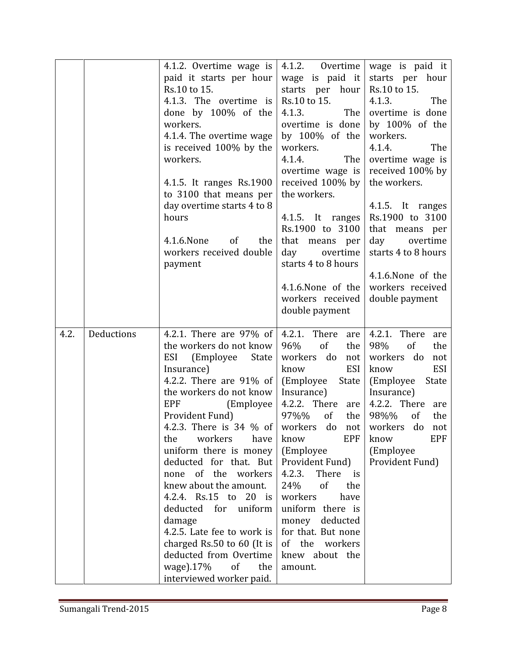|      |            | 4.1.2. Overtime wage is<br>paid it starts per hour<br>Rs.10 to 15.<br>4.1.3. The overtime is<br>done by 100% of the<br>workers.<br>4.1.4. The overtime wage<br>is received 100% by the<br>workers.<br>4.1.5. It ranges Rs.1900<br>to 3100 that means per<br>day overtime starts 4 to 8<br>hours<br>4.1.6.None<br><sub>of</sub><br>the<br>workers received double<br>payment                                                                                                                                                                                                                        | 4.1.2. Overtime<br>wage is paid it<br>starts per hour<br>Rs.10 to 15.<br>4.1.3.<br>The<br>overtime is done<br>by 100% of the<br>workers.<br>4.1.4.<br>The<br>overtime wage is<br>received 100% by<br>the workers.<br>4.1.5. It ranges<br>Rs.1900 to 3100<br>that means per<br>day<br>overtime<br>starts 4 to 8 hours<br>4.1.6.None of the<br>workers received<br>double payment                        | wage is paid it<br>starts per hour<br>Rs.10 to 15.<br>4.1.3.<br>The<br>overtime is done<br>by 100% of the<br>workers.<br>4.1.4.<br>The<br>overtime wage is<br>received 100% by<br>the workers.<br>4.1.5. It ranges<br>Rs.1900 to 3100<br>that means per<br>day<br>overtime<br>starts 4 to 8 hours<br>4.1.6. None of the<br>workers received<br>double payment |
|------|------------|----------------------------------------------------------------------------------------------------------------------------------------------------------------------------------------------------------------------------------------------------------------------------------------------------------------------------------------------------------------------------------------------------------------------------------------------------------------------------------------------------------------------------------------------------------------------------------------------------|--------------------------------------------------------------------------------------------------------------------------------------------------------------------------------------------------------------------------------------------------------------------------------------------------------------------------------------------------------------------------------------------------------|---------------------------------------------------------------------------------------------------------------------------------------------------------------------------------------------------------------------------------------------------------------------------------------------------------------------------------------------------------------|
| 4.2. | Deductions | 4.2.1. There are 97% of<br>the workers do not know<br>ESI<br>(Employee)<br>State<br>Insurance)<br>4.2.2. There are 91% of<br>the workers do not know<br><b>EPF</b><br>(Employee)<br>Provident Fund)<br>4.2.3. There is 34 % of workers do not workers do not<br>workers<br>have<br>the<br>uniform there is money<br>deducted for that. But<br>none of the workers<br>knew about the amount.<br>4.2.4. Rs.15 to 20 is<br>deducted for uniform<br>damage<br>4.2.5. Late fee to work is<br>charged Rs.50 to 60 (It is<br>deducted from Overtime<br>wage).17%<br>of<br>the<br>interviewed worker paid. | 4.2.1. There are<br>96%<br>of<br>the<br>workers do<br>not<br>know<br>ESI<br>(Employee)<br>State<br>Insurance)<br>4.2.2. There are<br>97%%<br><sub>of</sub><br>the<br>EPF<br>know<br>(Employee<br>Provident Fund)<br>There<br>4.2.3.<br>is<br>24%<br><sub>of</sub><br>the<br>workers<br>have<br>uniform there is<br>money deducted<br>for that. But none<br>of the workers<br>knew about the<br>amount. | 4.2.1. There are<br>98%<br>of<br>the<br>workers do<br>not<br><b>ESI</b><br>know<br>(Employee)<br>State<br>Insurance)<br>4.2.2. There are<br>98%%<br><sub>of</sub><br>the<br><b>EPF</b><br>know<br>(Employee<br>Provident Fund)                                                                                                                                |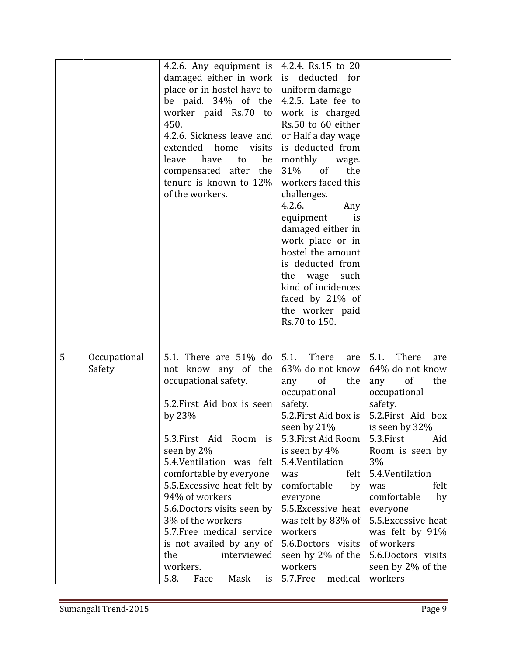|   |                        | 4.2.6. Any equipment is<br>damaged either in work<br>place or in hostel have to<br>be paid. 34% of the<br>worker paid Rs.70 to<br>450.<br>4.2.6. Sickness leave and<br>extended home visits<br>leave<br>be<br>have<br>to<br>compensated after the<br>tenure is known to 12%<br>of the workers.                                                                                                                                                | 4.2.4. Rs.15 to 20<br>is deducted for<br>uniform damage<br>4.2.5. Late fee to<br>work is charged<br>Rs.50 to 60 either<br>or Half a day wage<br>is deducted from<br>monthly<br>wage.<br>of<br>31%<br>the<br>workers faced this<br>challenges.<br>4.2.6.<br>Any<br>equipment<br>is<br>damaged either in<br>work place or in<br>hostel the amount<br>is deducted from<br>the wage<br>such<br>kind of incidences<br>faced by 21% of<br>the worker paid<br>Rs.70 to 150. |                                                                                                                                                                                                                                                                                                                                                               |  |
|---|------------------------|-----------------------------------------------------------------------------------------------------------------------------------------------------------------------------------------------------------------------------------------------------------------------------------------------------------------------------------------------------------------------------------------------------------------------------------------------|----------------------------------------------------------------------------------------------------------------------------------------------------------------------------------------------------------------------------------------------------------------------------------------------------------------------------------------------------------------------------------------------------------------------------------------------------------------------|---------------------------------------------------------------------------------------------------------------------------------------------------------------------------------------------------------------------------------------------------------------------------------------------------------------------------------------------------------------|--|
| 5 | Occupational<br>Safety | 5.1. There are 51% do<br>not know any of the<br>occupational safety.<br>5.2. First Aid box is seen<br>by $23\%$<br>5.3. First Aid Room is<br>seen by 2%<br>5.4. Ventilation was felt<br>comfortable by everyone<br>5.5. Excessive heat felt by<br>94% of workers<br>5.6. Doctors visits seen by<br>3% of the workers<br>5.7. Free medical service<br>is not availed by any of<br>the<br>interviewed<br>workers.<br>5.8.<br>Mask<br>Face<br>is | There<br>5.1.<br>are<br>63% do not know<br>of<br>any<br>the<br>occupational<br>safety.<br>5.2. First Aid box is<br>seen by 21%<br>5.3. First Aid Room<br>is seen by 4%<br>5.4. Ventilation<br>felt  <br>was<br>comfortable<br>by<br>everyone<br>5.5. Excessive heat<br>was felt by 83% of<br>workers<br>5.6.Doctors visits<br>seen by 2% of the<br>workers<br>5.7.Free<br>medical                                                                                    | 5.1.<br>There<br>are<br>64% do not know<br>of<br>the<br>any<br>occupational<br>safety.<br>5.2. First Aid box<br>is seen by 32%<br>5.3.First<br>Aid<br>Room is seen by<br>3%<br>5.4. Ventilation<br>felt<br>was<br>comfortable<br>by<br>everyone<br>5.5. Excessive heat<br>was felt by 91%<br>of workers<br>5.6.Doctors visits<br>seen by 2% of the<br>workers |  |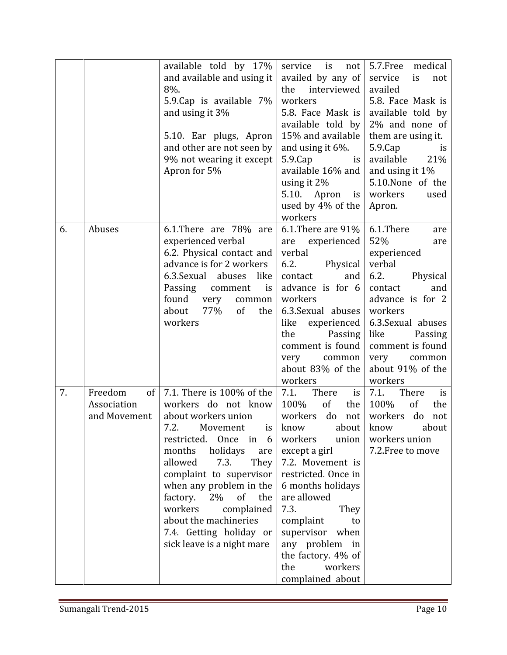|    |                                              | available told by 17%<br>and available and using it<br>8%.<br>5.9. Cap is available 7%<br>and using it 3%<br>5.10. Ear plugs, Apron<br>and other are not seen by<br>9% not wearing it except<br>Apron for 5%                                                                                                                                                             | service is<br>not<br>availed by any of<br>the<br>interviewed<br>workers<br>5.8. Face Mask is<br>available told by<br>15% and available<br>and using it $6\%$ .<br>$5.9$ . $Cap$<br>is<br>available 16% and<br>using it $2\%$<br>5.10. Apron<br>is  <br>used by 4% of the<br>workers                                                 | 5.7. Free medical<br>is<br>service<br>not<br>availed<br>5.8. Face Mask is<br>available told by<br>2% and none of<br>them are using it.<br>$5.9$ . $Cap$<br><i>is</i><br>available<br>21%<br>and using it $1\%$<br>5.10.None of the<br>workers<br>used<br>Apron. |
|----|----------------------------------------------|--------------------------------------------------------------------------------------------------------------------------------------------------------------------------------------------------------------------------------------------------------------------------------------------------------------------------------------------------------------------------|-------------------------------------------------------------------------------------------------------------------------------------------------------------------------------------------------------------------------------------------------------------------------------------------------------------------------------------|-----------------------------------------------------------------------------------------------------------------------------------------------------------------------------------------------------------------------------------------------------------------|
| 6. | Abuses                                       | 6.1. There are 78% are<br>experienced verbal<br>6.2. Physical contact and<br>advance is for 2 workers<br>6.3. Sexual abuses like<br>Passing<br>comment<br>is<br>found<br>very<br>common<br>77%<br>of<br>about<br>the<br>workers                                                                                                                                          | 6.1. There are $91\%$<br>experienced<br>are<br>verbal<br>6.2.<br>Physical<br>contact<br>and<br>advance is for 6<br>workers<br>6.3. Sexual abuses<br>like<br>experienced<br>the<br>Passing<br>comment is found<br>very<br>common<br>about 83% of the<br>workers                                                                      | 6.1.There<br>are<br>52%<br>are<br>experienced<br>verbal<br>6.2.<br>Physical<br>contact<br>and<br>advance is for 2<br>workers<br>6.3. Sexual abuses<br>like<br>Passing<br>comment is found<br>very<br>common<br>about 91% of the<br>workers                      |
| 7. | Freedom<br>of<br>Association<br>and Movement | 7.1. There is 100% of the<br>workers do not know<br>about workers union<br>7.2.<br>Movement is know<br>restricted. Once in 6<br>months holidays<br>are<br>allowed<br>7.3.<br>They<br>complaint to supervisor<br>when any problem in the<br>factory. 2% of the<br>workers<br>complained<br>about the machineries<br>7.4. Getting holiday or<br>sick leave is a night mare | 7.1.<br>There<br>is<br>100%<br>of<br>the<br>workers<br>do<br>not<br>about  <br>workers<br>union<br>except a girl<br>7.2. Movement is<br>restricted. Once in<br>6 months holidays<br>are allowed<br>7.3.<br>They<br>complaint<br>to<br>supervisor when<br>any problem in<br>the factory. 4% of<br>the<br>workers<br>complained about | 7.1.<br>There<br>is<br>100%<br>of<br>the<br>workers<br>do<br>not<br>know<br>about<br>workers union<br>7.2. Free to move                                                                                                                                         |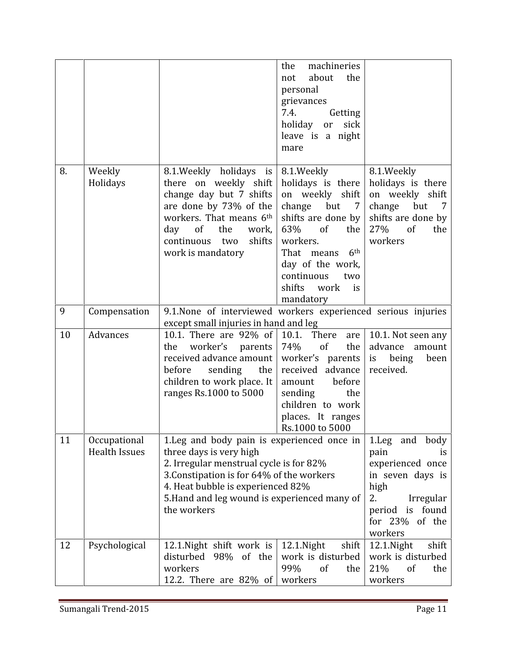|    |                                      |                                                                                                                                                                                                                                                                    | machineries<br>the<br>about<br>the<br>not<br>personal<br>grievances<br>7.4.<br>Getting<br>sick<br>holiday<br><sub>or</sub><br>leave is a night<br>mare                                                                                                                 |                                                                                                                                                  |
|----|--------------------------------------|--------------------------------------------------------------------------------------------------------------------------------------------------------------------------------------------------------------------------------------------------------------------|------------------------------------------------------------------------------------------------------------------------------------------------------------------------------------------------------------------------------------------------------------------------|--------------------------------------------------------------------------------------------------------------------------------------------------|
| 8. | Weekly<br>Holidays                   | 8.1. Weekly holidays is<br>there on weekly shift<br>change day but 7 shifts<br>are done by 73% of the<br>workers. That means 6th<br>day<br>of<br>the<br>work,<br>shifts<br>continuous<br>two<br>work is mandatory                                                  | 8.1. Weekly<br>holidays is there<br>on weekly shift<br>change<br>but<br>$\overline{7}$<br>shifts are done by<br>63%<br><sub>of</sub><br>the<br>workers.<br>6 <sup>th</sup><br>That means<br>day of the work,<br>continuous<br>two<br>shifts<br>work<br>is<br>mandatory | 8.1.Weekly<br>holidays is there<br>on weekly shift<br>change<br>but<br>7<br>shifts are done by<br>27%<br>of<br>the<br>workers                    |
| 9  | Compensation                         | 9.1. None of interviewed workers experienced serious injuries<br>except small injuries in hand and leg                                                                                                                                                             |                                                                                                                                                                                                                                                                        |                                                                                                                                                  |
| 10 | Advances                             | 10.1. There are 92% of<br>worker's<br>parents<br>the<br>received advance amount<br>before<br>sending<br>the<br>children to work place. It<br>ranges Rs.1000 to 5000                                                                                                | 10.1. There<br>are<br>74%<br>of<br>the<br>worker's parents<br>received advance<br>before<br>amount<br>sending<br>the<br>children to work<br>places. It ranges<br>Rs.1000 to 5000                                                                                       | 10.1. Not seen any<br>advance<br>amount<br>being<br>is<br>been<br>received.                                                                      |
| 11 | Occupational<br><b>Health Issues</b> | 1. Leg and body pain is experienced once in<br>three days is very high<br>2. Irregular menstrual cycle is for 82%<br>3. Constipation is for 64% of the workers<br>4. Heat bubble is experienced 82%<br>5. Hand and leg wound is experienced many of<br>the workers |                                                                                                                                                                                                                                                                        | 1. Leg and body<br>pain<br>1S<br>experienced once<br>in seven days is<br>high<br>2.<br>Irregular<br>period is found<br>for 23% of the<br>workers |
| 12 | Psychological                        | 12.1. Night shift work is<br>disturbed 98% of the<br>workers<br>12.2. There are 82% of                                                                                                                                                                             | 12.1. Night<br>shift<br>work is disturbed<br>99%<br>of<br>the<br>workers                                                                                                                                                                                               | 12.1. Night<br>shift<br>work is disturbed<br>21%<br>of<br>the<br>workers                                                                         |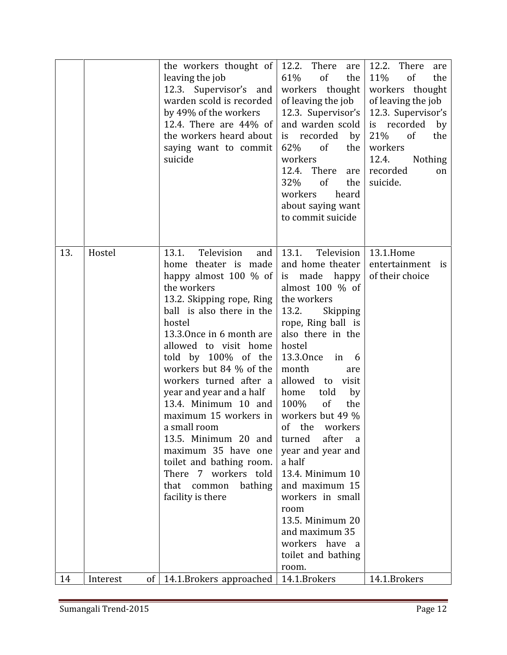|     |                           | the workers thought of<br>leaving the job<br>12.3. Supervisor's and<br>warden scold is recorded<br>by 49% of the workers<br>12.4. There are $44\%$ of<br>the workers heard about<br>saying want to commit<br>suicide                                                                                                                                                                                                                                                                                                                              | 12.2. There<br>are<br>61%<br>of<br>the<br>workers thought<br>of leaving the job<br>12.3. Supervisor's<br>and warden scold<br>is recorded<br>by<br>62%<br>of<br>the<br>workers<br>12.4. There<br>are<br>32%<br>of<br>the<br>workers<br>heard<br>about saying want<br>to commit suicide                                                                                                                                                                                                                                                  | 12.2.<br>There<br>are<br>of<br>11%<br>the<br>workers thought<br>of leaving the job<br>12.3. Supervisor's<br>is recorded<br>by<br>21%<br>of<br>the<br>workers<br>12.4.<br><b>Nothing</b><br>recorded<br>on<br>suicide. |
|-----|---------------------------|---------------------------------------------------------------------------------------------------------------------------------------------------------------------------------------------------------------------------------------------------------------------------------------------------------------------------------------------------------------------------------------------------------------------------------------------------------------------------------------------------------------------------------------------------|----------------------------------------------------------------------------------------------------------------------------------------------------------------------------------------------------------------------------------------------------------------------------------------------------------------------------------------------------------------------------------------------------------------------------------------------------------------------------------------------------------------------------------------|-----------------------------------------------------------------------------------------------------------------------------------------------------------------------------------------------------------------------|
| 13. | Hostel                    | 13.1.<br>Television<br>and<br>home theater is made<br>happy almost $100 \%$ of<br>the workers<br>13.2. Skipping rope, Ring<br>ball is also there in the<br>hostel<br>13.3.0nce in 6 month are<br>allowed to visit home<br>told by 100% of the<br>workers but 84 % of the<br>workers turned after a<br>year and year and a half<br>13.4. Minimum 10 and<br>maximum 15 workers in<br>a small room<br>13.5. Minimum 20 and<br>maximum 35 have one<br>toilet and bathing room.<br>There 7 workers told<br>that common<br>bathing<br>facility is there | 13.1.<br>Television<br>and home theater<br>made happy<br>is<br>almost $100 \%$ of<br>the workers<br>13.2.<br>Skipping<br>rope, Ring ball is<br>also there in the<br>hostel<br>13.3.0nce<br>in 6<br>month<br>are<br>allowed to<br>visit<br>home<br>told<br>by<br>100%<br>of<br>the<br>workers but 49 %<br>of the workers<br>turned after<br>a a<br>year and year and<br>a half<br>13.4. Minimum 10<br>and maximum 15<br>workers in small<br>room<br>13.5. Minimum 20<br>and maximum 35<br>workers have a<br>toilet and bathing<br>room. | 13.1.Home<br>entertainment is<br>of their choice                                                                                                                                                                      |
| 14  | Interest<br><sub>of</sub> | 14.1.Brokers approached                                                                                                                                                                                                                                                                                                                                                                                                                                                                                                                           | 14.1.Brokers                                                                                                                                                                                                                                                                                                                                                                                                                                                                                                                           | 14.1.Brokers                                                                                                                                                                                                          |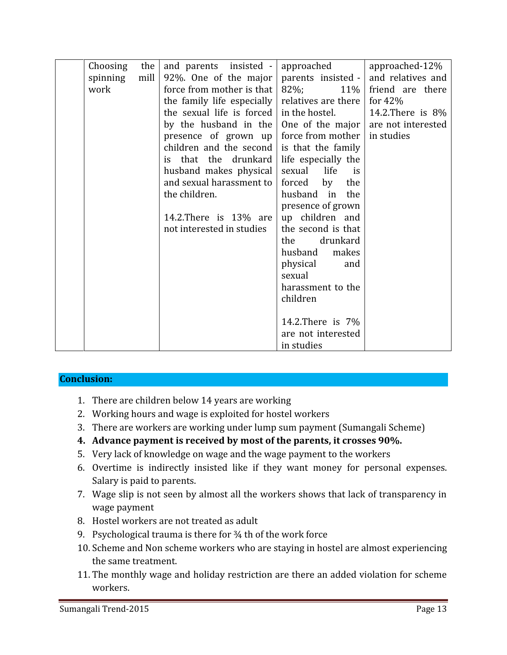| Choosing | the  | and parents insisted -                     | approached           | approached-12%       |
|----------|------|--------------------------------------------|----------------------|----------------------|
| spinning | mill | 92\%. One of the major                     | parents insisted -   | and relatives and    |
| work     |      | force from mother is that                  | $82\%$ ;<br>11%      | friend are there     |
|          |      | the family life especially                 | relatives are there  | for $42%$            |
|          |      | the sexual life is forced                  | in the hostel.       | 14.2. There is $8\%$ |
|          |      | by the husband in the                      | One of the major     | are not interested   |
|          |      | presence of grown $up$                     | force from mother    | in studies           |
|          |      | children and the second is that the family |                      |                      |
|          |      | that the drunkard<br>is.                   | life especially the  |                      |
|          |      | husband makes physical                     | sexual<br>life<br>is |                      |
|          |      | and sexual harassment to                   | forced<br>by<br>the  |                      |
|          |      | the children.                              | husband in the       |                      |
|          |      |                                            | presence of grown    |                      |
|          |      | 14.2. There is 13% are                     | up children and      |                      |
|          |      | not interested in studies                  | the second is that   |                      |
|          |      |                                            | drunkard<br>the      |                      |
|          |      |                                            | husband<br>makes     |                      |
|          |      |                                            | physical<br>and      |                      |
|          |      |                                            | sexual               |                      |
|          |      |                                            | harassment to the    |                      |
|          |      |                                            | children             |                      |
|          |      |                                            |                      |                      |
|          |      |                                            | 14.2. There is 7\%   |                      |
|          |      |                                            | are not interested   |                      |
|          |      |                                            | in studies           |                      |

#### **Conclusion:**

- 1. There are children below 14 years are working
- 2. Working hours and wage is exploited for hostel workers
- 3. There are workers are working under lump sum payment (Sumangali Scheme)
- **4. Advance payment is received by most of the parents, it crosses 90%.**
- 5. Very lack of knowledge on wage and the wage payment to the workers
- 6. Overtime is indirectly insisted like if they want money for personal expenses. Salary is paid to parents.
- 7. Wage slip is not seen by almost all the workers shows that lack of transparency in wage payment
- 8. Hostel workers are not treated as adult
- 9. Psychological trauma is there for ¾ th of the work force
- 10. Scheme and Non scheme workers who are staying in hostel are almost experiencing the same treatment.
- 11. The monthly wage and holiday restriction are there an added violation for scheme workers.